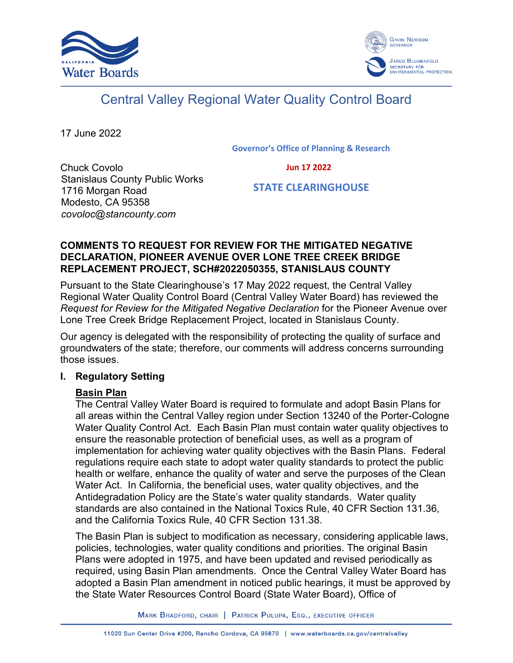



# Central Valley Regional Water Quality Control Board

17 June 2022

**Governor's Office of Planning & Research**

 **Jun 17 2022**

Chuck Covolo Stanislaus County Public Works 1716 Morgan Road Modesto, CA 95358 *covoloc@stancounty.com*

 **STATE CLEARINGHOUSE**

#### **COMMENTS TO REQUEST FOR REVIEW FOR THE MITIGATED NEGATIVE DECLARATION, PIONEER AVENUE OVER LONE TREE CREEK BRIDGE REPLACEMENT PROJECT, SCH#2022050355, STANISLAUS COUNTY**

Pursuant to the State Clearinghouse's 17 May 2022 request, the Central Valley Regional Water Quality Control Board (Central Valley Water Board) has reviewed the *Request for Review for the Mitigated Negative Declaration* for the Pioneer Avenue over Lone Tree Creek Bridge Replacement Project, located in Stanislaus County.

Our agency is delegated with the responsibility of protecting the quality of surface and groundwaters of the state; therefore, our comments will address concerns surrounding those issues.

# **I. Regulatory Setting**

# **Basin Plan**

The Central Valley Water Board is required to formulate and adopt Basin Plans for all areas within the Central Valley region under Section 13240 of the Porter-Cologne Water Quality Control Act. Each Basin Plan must contain water quality objectives to ensure the reasonable protection of beneficial uses, as well as a program of implementation for achieving water quality objectives with the Basin Plans. Federal regulations require each state to adopt water quality standards to protect the public health or welfare, enhance the quality of water and serve the purposes of the Clean Water Act. In California, the beneficial uses, water quality objectives, and the Antidegradation Policy are the State's water quality standards. Water quality standards are also contained in the National Toxics Rule, 40 CFR Section 131.36, and the California Toxics Rule, 40 CFR Section 131.38.

The Basin Plan is subject to modification as necessary, considering applicable laws, policies, technologies, water quality conditions and priorities. The original Basin Plans were adopted in 1975, and have been updated and revised periodically as required, using Basin Plan amendments. Once the Central Valley Water Board has adopted a Basin Plan amendment in noticed public hearings, it must be approved by the State Water Resources Control Board (State Water Board), Office of

MARK BRADFORD, CHAIR | PATRICK PULUPA, ESQ., EXECUTIVE OFFICER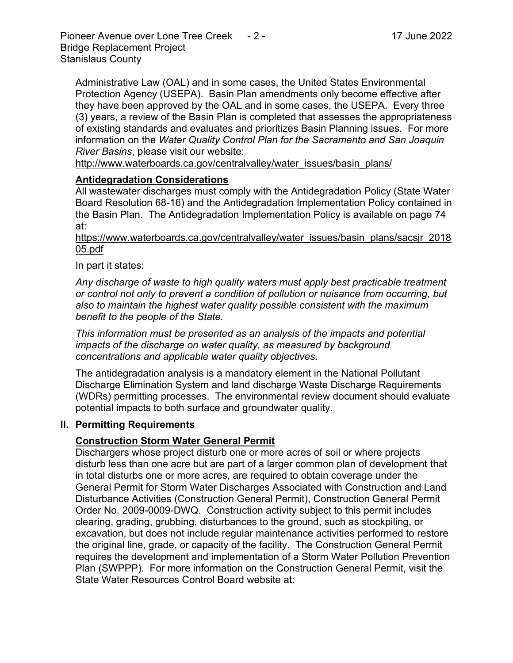Administrative Law (OAL) and in some cases, the United States Environmental Protection Agency (USEPA). Basin Plan amendments only become effective after they have been approved by the OAL and in some cases, the USEPA. Every three (3) years, a review of the Basin Plan is completed that assesses the appropriateness of existing standards and evaluates and prioritizes Basin Planning issues. For more information on the *Water Quality Control Plan for the Sacramento and San Joaquin River Basins*, please visit our website:

[http://www.waterboards.ca.gov/centralvalley/water\\_issues/basin\\_plans/](http://www.waterboards.ca.gov/centralvalley/water_issues/basin_plans/)

# **Antidegradation Considerations**

All wastewater discharges must comply with the Antidegradation Policy (State Water Board Resolution 68-16) and the Antidegradation Implementation Policy contained in the Basin Plan. The Antidegradation Implementation Policy is available on page 74 at:

https://www.waterboards.ca.gov/centralvalley/water\_issues/basin\_plans/sacsjr\_2018 05.pdf

In part it states:

*Any discharge of waste to high quality waters must apply best practicable treatment or control not only to prevent a condition of pollution or nuisance from occurring, but also to maintain the highest water quality possible consistent with the maximum benefit to the people of the State.*

*This information must be presented as an analysis of the impacts and potential impacts of the discharge on water quality, as measured by background concentrations and applicable water quality objectives.*

The antidegradation analysis is a mandatory element in the National Pollutant Discharge Elimination System and land discharge Waste Discharge Requirements (WDRs) permitting processes. The environmental review document should evaluate potential impacts to both surface and groundwater quality.

#### **II. Permitting Requirements**

# **Construction Storm Water General Permit**

Dischargers whose project disturb one or more acres of soil or where projects disturb less than one acre but are part of a larger common plan of development that in total disturbs one or more acres, are required to obtain coverage under the General Permit for Storm Water Discharges Associated with Construction and Land Disturbance Activities (Construction General Permit), Construction General Permit Order No. 2009-0009-DWQ. Construction activity subject to this permit includes clearing, grading, grubbing, disturbances to the ground, such as stockpiling, or excavation, but does not include regular maintenance activities performed to restore the original line, grade, or capacity of the facility. The Construction General Permit requires the development and implementation of a Storm Water Pollution Prevention Plan (SWPPP). For more information on the Construction General Permit, visit the State Water Resources Control Board website at: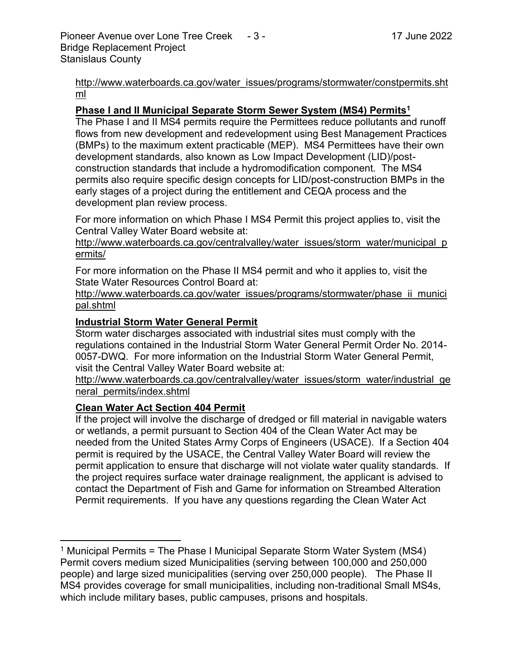[http://www.waterboards.ca.gov/water\\_issues/programs/stormwater/constpermits.sht](http://www.waterboards.ca.gov/water_issues/programs/stormwater/constpermits.shtml) [ml](http://www.waterboards.ca.gov/water_issues/programs/stormwater/constpermits.shtml)

# **Phase I and II Municipal Separate Storm Sewer System (MS4) Permits<sup>1</sup>**

The Phase I and II MS4 permits require the Permittees reduce pollutants and runoff flows from new development and redevelopment using Best Management Practices (BMPs) to the maximum extent practicable (MEP). MS4 Permittees have their own development standards, also known as Low Impact Development (LID)/postconstruction standards that include a hydromodification component. The MS4 permits also require specific design concepts for LID/post-construction BMPs in the early stages of a project during the entitlement and CEQA process and the development plan review process.

For more information on which Phase I MS4 Permit this project applies to, visit the Central Valley Water Board website at:

http://www.waterboards.ca.gov/centralvalley/water\_issues/storm\_water/municipal\_p ermits/

For more information on the Phase II MS4 permit and who it applies to, visit the State Water Resources Control Board at:

http://www.waterboards.ca.gov/water\_issues/programs/stormwater/phase\_ii\_munici pal.shtml

#### **Industrial Storm Water General Permit**

Storm water discharges associated with industrial sites must comply with the regulations contained in the Industrial Storm Water General Permit Order No. 2014- 0057-DWQ. For more information on the Industrial Storm Water General Permit, visit the Central Valley Water Board website at:

http://www.waterboards.ca.gov/centralvalley/water\_issues/storm\_water/industrial\_ge neral\_permits/index.shtml

# **Clean Water Act Section 404 Permit**

If the project will involve the discharge of dredged or fill material in navigable waters or wetlands, a permit pursuant to Section 404 of the Clean Water Act may be needed from the United States Army Corps of Engineers (USACE). If a Section 404 permit is required by the USACE, the Central Valley Water Board will review the permit application to ensure that discharge will not violate water quality standards. If the project requires surface water drainage realignment, the applicant is advised to contact the Department of Fish and Game for information on Streambed Alteration Permit requirements. If you have any questions regarding the Clean Water Act

<sup>&</sup>lt;sup>1</sup> Municipal Permits = The Phase I Municipal Separate Storm Water System (MS4) Permit covers medium sized Municipalities (serving between 100,000 and 250,000 people) and large sized municipalities (serving over 250,000 people). The Phase II MS4 provides coverage for small municipalities, including non-traditional Small MS4s, which include military bases, public campuses, prisons and hospitals.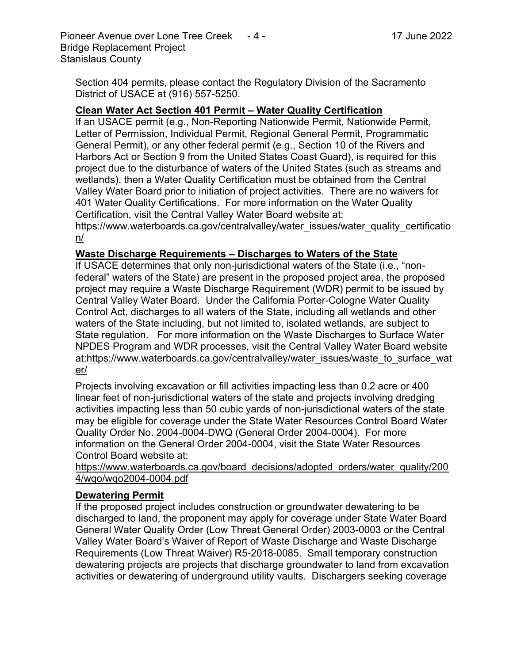Section 404 permits, please contact the Regulatory Division of the Sacramento District of USACE at (916) 557-5250.

# **Clean Water Act Section 401 Permit – Water Quality Certification**

If an USACE permit (e.g., Non-Reporting Nationwide Permit, Nationwide Permit, Letter of Permission, Individual Permit, Regional General Permit, Programmatic General Permit), or any other federal permit (e.g., Section 10 of the Rivers and Harbors Act or Section 9 from the United States Coast Guard), is required for this project due to the disturbance of waters of the United States (such as streams and wetlands), then a Water Quality Certification must be obtained from the Central Valley Water Board prior to initiation of project activities. There are no waivers for 401 Water Quality Certifications. For more information on the Water Quality Certification, visit the Central Valley Water Board website at:

https://www.waterboards.ca.gov/centralvalley/water\_issues/water\_quality\_certificatio n/

# **Waste Discharge Requirements – Discharges to Waters of the State**

If USACE determines that only non-jurisdictional waters of the State (i.e., "nonfederal" waters of the State) are present in the proposed project area, the proposed project may require a Waste Discharge Requirement (WDR) permit to be issued by Central Valley Water Board. Under the California Porter-Cologne Water Quality Control Act, discharges to all waters of the State, including all wetlands and other waters of the State including, but not limited to, isolated wetlands, are subject to State regulation. For more information on the Waste Discharges to Surface Water NPDES Program and WDR processes, visit the Central Valley Water Board website at:https://www.waterboards.ca.gov/centralvalley/water\_issues/waste\_to\_surface\_wat er/

Projects involving excavation or fill activities impacting less than 0.2 acre or 400 linear feet of non-jurisdictional waters of the state and projects involving dredging activities impacting less than 50 cubic yards of non-jurisdictional waters of the state may be eligible for coverage under the State Water Resources Control Board Water Quality Order No. 2004-0004-DWQ (General Order 2004-0004). For more information on the General Order 2004-0004, visit the State Water Resources Control Board website at:

https://www.waterboards.ca.gov/board\_decisions/adopted\_orders/water\_quality/200 4/wqo/wqo2004-0004.pdf

# **Dewatering Permit**

If the proposed project includes construction or groundwater dewatering to be discharged to land, the proponent may apply for coverage under State Water Board General Water Quality Order (Low Threat General Order) 2003-0003 or the Central Valley Water Board's Waiver of Report of Waste Discharge and Waste Discharge Requirements (Low Threat Waiver) R5-2018-0085. Small temporary construction dewatering projects are projects that discharge groundwater to land from excavation activities or dewatering of underground utility vaults. Dischargers seeking coverage